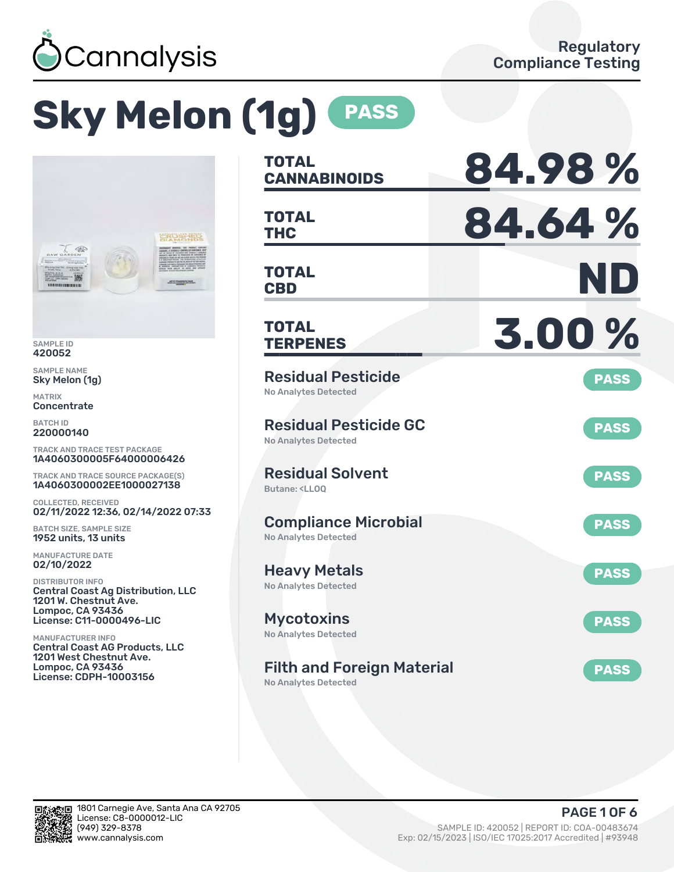

# **Sky Melon (1g) PASS**



SAMPLE ID 420052

SAMPLE NAME Sky Melon (1g)

MATRIX Concentrate

BATCH ID 220000140

TRACK AND TRACE TEST PACKAGE 1A4060300005F64000006426

TRACK AND TRACE SOURCE PACKAGE(S) 1A4060300002EE1000027138

COLLECTED, RECEIVED 02/11/2022 12:36, 02/14/2022 07:33

BATCH SIZE, SAMPLE SIZE 1952 units, 13 units

MANUFACTURE DATE 02/10/2022

DISTRIBUTOR INFO Central Coast Ag Distribution, LLC 1201 W. Chestnut Ave. Lompoc, CA 93436 License: C11-0000496-LIC

MANUFACTURER INFO Central Coast AG Products, LLC 1201 West Chestnut Ave. Lompoc, CA 93436 License: CDPH-10003156

| TOTAL<br><b>CANNABINOIDS</b>                                                 | 84.98%      |
|------------------------------------------------------------------------------|-------------|
| <b>TOTAL</b><br><b>THC</b>                                                   | 84.64%      |
| <b>TOTAL</b><br><b>CBD</b>                                                   | ND          |
| TOTAL<br><b>TERPENES</b>                                                     | 3.00%       |
| <b>Residual Pesticide</b><br><b>No Analytes Detected</b>                     | <b>PASS</b> |
| <b>Residual Pesticide GC</b><br><b>No Analytes Detected</b>                  | <b>PASS</b> |
| <b>Residual Solvent</b><br>Butane: <ll00< td=""><td><b>PASS</b></td></ll00<> | <b>PASS</b> |
| <b>Compliance Microbial</b><br><b>No Analytes Detected</b>                   | <b>PASS</b> |
| <b>Heavy Metals</b><br><b>No Analytes Detected</b>                           | <b>PASS</b> |
| <b>Mycotoxins</b><br>No Analytes Detected                                    | <b>PASS</b> |
| <b>Filth and Foreign Material</b>                                            | <b>PASS</b> |

No Analytes Detected

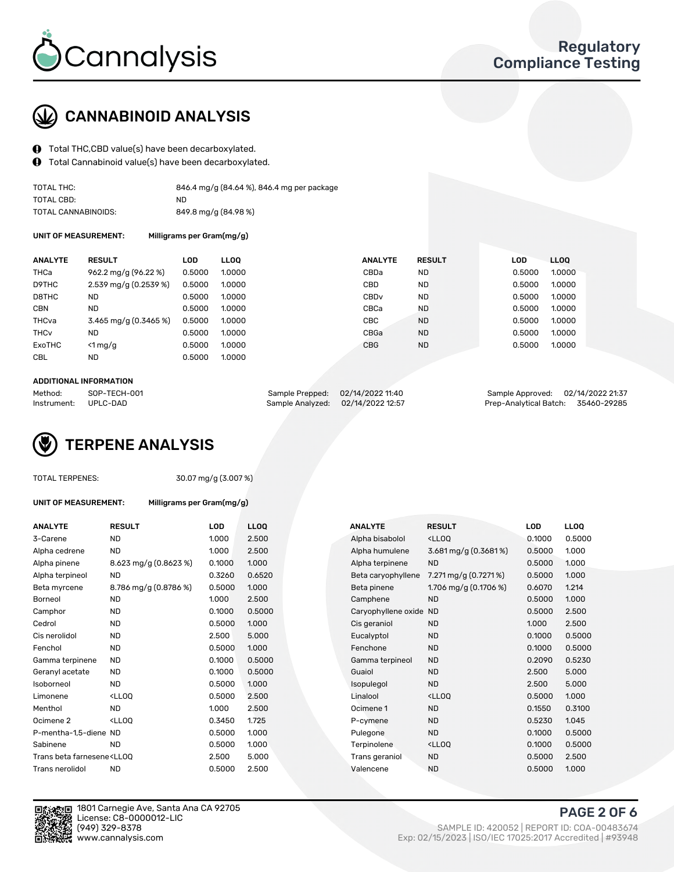

## CANNABINOID ANALYSIS

- Total THC,CBD value(s) have been decarboxylated.
- Total Cannabinoid value(s) have been decarboxylated.  $\bf{0}$

| TOTAL THC:          | 846.4 mg/g (84.64 %), 846.4 mg per package |
|---------------------|--------------------------------------------|
| TOTAL CBD:          | ND.                                        |
| TOTAL CANNABINOIDS: | 849.8 mg/g (84.98 %)                       |

UNIT OF MEASUREMENT: Milligrams per Gram(mg/g)

| <b>ANALYTE</b>         | <b>RESULT</b>           | LOD.   | <b>LLOO</b> | <b>ANALYTE</b>   | <b>RESULT</b> | <b>LOD</b> | <b>LLOO</b> |  |
|------------------------|-------------------------|--------|-------------|------------------|---------------|------------|-------------|--|
| THCa                   | 962.2 mg/g (96.22 %)    | 0.5000 | 1.0000      | CBDa             | ND.           | 0.5000     | 1.0000      |  |
| D9THC                  | $2.539$ mg/g (0.2539 %) | 0.5000 | 1.0000      | CBD              | <b>ND</b>     | 0.5000     | 1.0000      |  |
| D8THC                  | <b>ND</b>               | 0.5000 | 1.0000      | CBD <sub>v</sub> | <b>ND</b>     | 0.5000     | 1.0000      |  |
| <b>CBN</b>             | <b>ND</b>               | 0.5000 | 1.0000      | CBCa             | <b>ND</b>     | 0.5000     | 1.0000      |  |
| THCva                  | 3.465 mg/g (0.3465 %)   | 0.5000 | 1.0000      | CBC              | <b>ND</b>     | 0.5000     | 1.0000      |  |
| <b>THC<sub>v</sub></b> | <b>ND</b>               | 0.5000 | 1.0000      | CBGa             | <b>ND</b>     | 0.5000     | 1.0000      |  |
| ExoTHC                 | $\leq 1$ mg/g           | 0.5000 | 1.0000      | <b>CBG</b>       | <b>ND</b>     | 0.5000     | 1.0000      |  |
| <b>CBL</b>             | <b>ND</b>               | 0.5000 | 1.0000      |                  |               |            |             |  |
|                        |                         |        |             |                  |               |            |             |  |

#### ADDITIONAL INFORMATION

| Method:              | SOP-TECH-001 | Sample Prepped: 02/14/2022 11:40  | Sample Approved: 02/14/2022 21:37  |  |
|----------------------|--------------|-----------------------------------|------------------------------------|--|
| Instrument: UPLC-DAD |              | Sample Analyzed: 02/14/2022 12:57 | Prep-Analytical Batch: 35460-29285 |  |

## TERPENE ANALYSIS

|  | TOTAL TERPENES: |
|--|-----------------|
|--|-----------------|

30.07 mg/g (3.007 %)

UNIT OF MEASUREMENT: Milligrams per Gram(mg/g)

| <b>ANALYTE</b>                                                                                                                                        | <b>RESULT</b>                                                                                                                  | <b>LOD</b> | <b>LLOQ</b> | <b>ANALYTE</b>         | <b>RESULT</b>                                       | LOD    | <b>LLOQ</b> |
|-------------------------------------------------------------------------------------------------------------------------------------------------------|--------------------------------------------------------------------------------------------------------------------------------|------------|-------------|------------------------|-----------------------------------------------------|--------|-------------|
| 3-Carene                                                                                                                                              | <b>ND</b>                                                                                                                      | 1.000      | 2.500       | Alpha bisabolol        | <lloq< td=""><td>0.1000</td><td>0.5000</td></lloq<> | 0.1000 | 0.5000      |
| Alpha cedrene                                                                                                                                         | <b>ND</b>                                                                                                                      | 1.000      | 2.500       | Alpha humulene         | 3.681 mg/g (0.3681%)                                | 0.5000 | 1.000       |
| Alpha pinene                                                                                                                                          | 8.623 mg/g (0.8623 %)                                                                                                          | 0.1000     | 1.000       | Alpha terpinene        | <b>ND</b>                                           | 0.5000 | 1.000       |
| Alpha terpineol                                                                                                                                       | <b>ND</b>                                                                                                                      | 0.3260     | 0.6520      | Beta caryophyllene     | 7.271 mg/g (0.7271 %)                               | 0.5000 | 1.000       |
| Beta myrcene                                                                                                                                          | 8.786 mg/g (0.8786 %)                                                                                                          | 0.5000     | 1.000       | Beta pinene            | 1.706 mg/g $(0.1706\%)$                             | 0.6070 | 1.214       |
| Borneol                                                                                                                                               | <b>ND</b>                                                                                                                      | 1.000      | 2.500       | Camphene               | <b>ND</b>                                           | 0.5000 | 1.000       |
| Camphor                                                                                                                                               | <b>ND</b>                                                                                                                      | 0.1000     | 0.5000      | Caryophyllene oxide ND |                                                     | 0.5000 | 2.500       |
| Cedrol                                                                                                                                                | <b>ND</b>                                                                                                                      | 0.5000     | 1.000       | Cis geraniol           | <b>ND</b>                                           | 1.000  | 2.500       |
| Cis nerolidol                                                                                                                                         | <b>ND</b>                                                                                                                      | 2.500      | 5.000       | Eucalyptol             | <b>ND</b>                                           | 0.1000 | 0.5000      |
| Fenchol                                                                                                                                               | <b>ND</b>                                                                                                                      | 0.5000     | 1.000       | Fenchone               | <b>ND</b>                                           | 0.1000 | 0.5000      |
| Gamma terpinene                                                                                                                                       | <b>ND</b>                                                                                                                      | 0.1000     | 0.5000      | Gamma terpineol        | <b>ND</b>                                           | 0.2090 | 0.5230      |
| Geranyl acetate                                                                                                                                       | <b>ND</b>                                                                                                                      | 0.1000     | 0.5000      | Guaiol                 | <b>ND</b>                                           | 2.500  | 5.000       |
| Isoborneol                                                                                                                                            | <b>ND</b>                                                                                                                      | 0.5000     | 1.000       | Isopulegol             | <b>ND</b>                                           | 2.500  | 5.000       |
| Limonene                                                                                                                                              | <lloq< td=""><td>0.5000</td><td>2.500</td><td>Linalool</td><td><lloq< td=""><td>0.5000</td><td>1.000</td></lloq<></td></lloq<> | 0.5000     | 2.500       | Linalool               | <lloq< td=""><td>0.5000</td><td>1.000</td></lloq<>  | 0.5000 | 1.000       |
| Menthol                                                                                                                                               | <b>ND</b>                                                                                                                      | 1.000      | 2.500       | Ocimene 1              | <b>ND</b>                                           | 0.1550 | 0.3100      |
| Ocimene 2                                                                                                                                             | <lloq< td=""><td>0.3450</td><td>1.725</td><td>P-cymene</td><td><b>ND</b></td><td>0.5230</td><td>1.045</td></lloq<>             | 0.3450     | 1.725       | P-cymene               | <b>ND</b>                                           | 0.5230 | 1.045       |
| P-mentha-1,5-diene ND                                                                                                                                 |                                                                                                                                | 0.5000     | 1.000       | Pulegone               | <b>ND</b>                                           | 0.1000 | 0.5000      |
| Sabinene                                                                                                                                              | <b>ND</b>                                                                                                                      | 0.5000     | 1.000       | Terpinolene            | <lloq< td=""><td>0.1000</td><td>0.5000</td></lloq<> | 0.1000 | 0.5000      |
| Trans beta farnesene <ll00< td=""><td></td><td>2.500</td><td>5.000</td><td>Trans geraniol</td><td><b>ND</b></td><td>0.5000</td><td>2.500</td></ll00<> |                                                                                                                                | 2.500      | 5.000       | Trans geraniol         | <b>ND</b>                                           | 0.5000 | 2.500       |
| Trans nerolidol                                                                                                                                       | <b>ND</b>                                                                                                                      | 0.5000     | 2.500       | Valencene              | <b>ND</b>                                           | 0.5000 | 1.000       |



1801 Carnegie Ave, Santa Ana CA 92705 License: C8-0000012-LIC<br>(949) 329-8378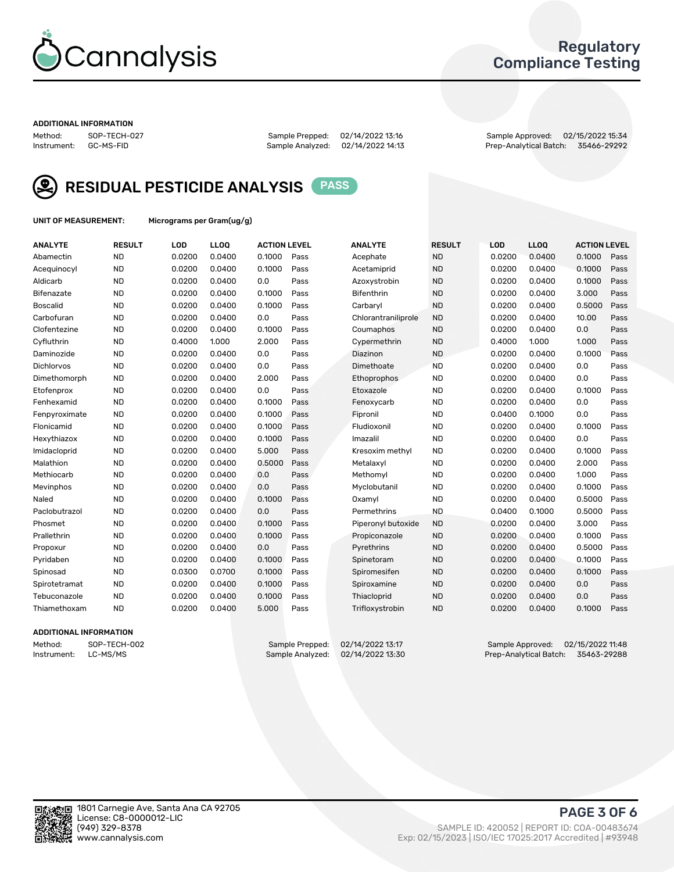

## Regulatory Compliance Testing

#### ADDITIONAL INFORMATION

Method: SOP-TECH-027 Sample Prepped: 02/14/2022 13:16 Sample Approved: 02/15/2022 15:34 Prep-Analytical Batch: 35466-29292



RESIDUAL PESTICIDE ANALYSIS PASS

UNIT OF MEASUREMENT: Micrograms per Gram(ug/g)

| <b>ANALYTE</b>    | <b>RESULT</b> | LOD    | LL <sub>OO</sub> | <b>ACTION LEVEL</b> |      | <b>ANALYTE</b>      | <b>RESULT</b> | LOD    | <b>LLOQ</b> | <b>ACTION LEVEL</b> |      |
|-------------------|---------------|--------|------------------|---------------------|------|---------------------|---------------|--------|-------------|---------------------|------|
| Abamectin         | <b>ND</b>     | 0.0200 | 0.0400           | 0.1000              | Pass | Acephate            | <b>ND</b>     | 0.0200 | 0.0400      | 0.1000              | Pass |
| Acequinocyl       | <b>ND</b>     | 0.0200 | 0.0400           | 0.1000              | Pass | Acetamiprid         | <b>ND</b>     | 0.0200 | 0.0400      | 0.1000              | Pass |
| Aldicarb          | <b>ND</b>     | 0.0200 | 0.0400           | 0.0                 | Pass | Azoxystrobin        | <b>ND</b>     | 0.0200 | 0.0400      | 0.1000              | Pass |
| Bifenazate        | <b>ND</b>     | 0.0200 | 0.0400           | 0.1000              | Pass | <b>Bifenthrin</b>   | <b>ND</b>     | 0.0200 | 0.0400      | 3.000               | Pass |
| <b>Boscalid</b>   | <b>ND</b>     | 0.0200 | 0.0400           | 0.1000              | Pass | Carbaryl            | <b>ND</b>     | 0.0200 | 0.0400      | 0.5000              | Pass |
| Carbofuran        | <b>ND</b>     | 0.0200 | 0.0400           | 0.0                 | Pass | Chlorantraniliprole | <b>ND</b>     | 0.0200 | 0.0400      | 10.00               | Pass |
| Clofentezine      | <b>ND</b>     | 0.0200 | 0.0400           | 0.1000              | Pass | Coumaphos           | <b>ND</b>     | 0.0200 | 0.0400      | 0.0                 | Pass |
| Cyfluthrin        | <b>ND</b>     | 0.4000 | 1.000            | 2.000               | Pass | Cypermethrin        | <b>ND</b>     | 0.4000 | 1.000       | 1.000               | Pass |
| Daminozide        | <b>ND</b>     | 0.0200 | 0.0400           | 0.0                 | Pass | Diazinon            | <b>ND</b>     | 0.0200 | 0.0400      | 0.1000              | Pass |
| <b>Dichlorvos</b> | <b>ND</b>     | 0.0200 | 0.0400           | 0.0                 | Pass | Dimethoate          | <b>ND</b>     | 0.0200 | 0.0400      | 0.0                 | Pass |
| Dimethomorph      | <b>ND</b>     | 0.0200 | 0.0400           | 2.000               | Pass | Ethoprophos         | <b>ND</b>     | 0.0200 | 0.0400      | 0.0                 | Pass |
| Etofenprox        | <b>ND</b>     | 0.0200 | 0.0400           | 0.0                 | Pass | Etoxazole           | <b>ND</b>     | 0.0200 | 0.0400      | 0.1000              | Pass |
| Fenhexamid        | <b>ND</b>     | 0.0200 | 0.0400           | 0.1000              | Pass | Fenoxycarb          | <b>ND</b>     | 0.0200 | 0.0400      | 0.0                 | Pass |
| Fenpyroximate     | <b>ND</b>     | 0.0200 | 0.0400           | 0.1000              | Pass | Fipronil            | <b>ND</b>     | 0.0400 | 0.1000      | 0.0                 | Pass |
| Flonicamid        | <b>ND</b>     | 0.0200 | 0.0400           | 0.1000              | Pass | Fludioxonil         | <b>ND</b>     | 0.0200 | 0.0400      | 0.1000              | Pass |
| Hexythiazox       | <b>ND</b>     | 0.0200 | 0.0400           | 0.1000              | Pass | Imazalil            | <b>ND</b>     | 0.0200 | 0.0400      | 0.0                 | Pass |
| Imidacloprid      | <b>ND</b>     | 0.0200 | 0.0400           | 5.000               | Pass | Kresoxim methyl     | <b>ND</b>     | 0.0200 | 0.0400      | 0.1000              | Pass |
| Malathion         | <b>ND</b>     | 0.0200 | 0.0400           | 0.5000              | Pass | Metalaxyl           | <b>ND</b>     | 0.0200 | 0.0400      | 2.000               | Pass |
| Methiocarb        | <b>ND</b>     | 0.0200 | 0.0400           | 0.0                 | Pass | Methomyl            | <b>ND</b>     | 0.0200 | 0.0400      | 1.000               | Pass |
| Mevinphos         | <b>ND</b>     | 0.0200 | 0.0400           | 0.0                 | Pass | Myclobutanil        | <b>ND</b>     | 0.0200 | 0.0400      | 0.1000              | Pass |
| Naled             | <b>ND</b>     | 0.0200 | 0.0400           | 0.1000              | Pass | Oxamyl              | <b>ND</b>     | 0.0200 | 0.0400      | 0.5000              | Pass |
| Paclobutrazol     | <b>ND</b>     | 0.0200 | 0.0400           | 0.0                 | Pass | Permethrins         | <b>ND</b>     | 0.0400 | 0.1000      | 0.5000              | Pass |
| Phosmet           | <b>ND</b>     | 0.0200 | 0.0400           | 0.1000              | Pass | Piperonyl butoxide  | <b>ND</b>     | 0.0200 | 0.0400      | 3.000               | Pass |
| Prallethrin       | <b>ND</b>     | 0.0200 | 0.0400           | 0.1000              | Pass | Propiconazole       | <b>ND</b>     | 0.0200 | 0.0400      | 0.1000              | Pass |
| Propoxur          | <b>ND</b>     | 0.0200 | 0.0400           | 0.0                 | Pass | Pyrethrins          | <b>ND</b>     | 0.0200 | 0.0400      | 0.5000              | Pass |
| Pyridaben         | <b>ND</b>     | 0.0200 | 0.0400           | 0.1000              | Pass | Spinetoram          | <b>ND</b>     | 0.0200 | 0.0400      | 0.1000              | Pass |
| Spinosad          | <b>ND</b>     | 0.0300 | 0.0700           | 0.1000              | Pass | Spiromesifen        | <b>ND</b>     | 0.0200 | 0.0400      | 0.1000              | Pass |
| Spirotetramat     | <b>ND</b>     | 0.0200 | 0.0400           | 0.1000              | Pass | Spiroxamine         | <b>ND</b>     | 0.0200 | 0.0400      | 0.0                 | Pass |
| Tebuconazole      | <b>ND</b>     | 0.0200 | 0.0400           | 0.1000              | Pass | Thiacloprid         | <b>ND</b>     | 0.0200 | 0.0400      | 0.0                 | Pass |
| Thiamethoxam      | <b>ND</b>     | 0.0200 | 0.0400           | 5.000               | Pass | Trifloxystrobin     | <b>ND</b>     | 0.0200 | 0.0400      | 0.1000              | Pass |

#### ADDITIONAL INFORMATION

Method: SOP-TECH-002 Sample Prepped: 02/14/2022 13:17 Sample Approved: 02/15/2022 11:48 Prep-Analytical Batch: 35463-29288

PAGE 3 OF 6

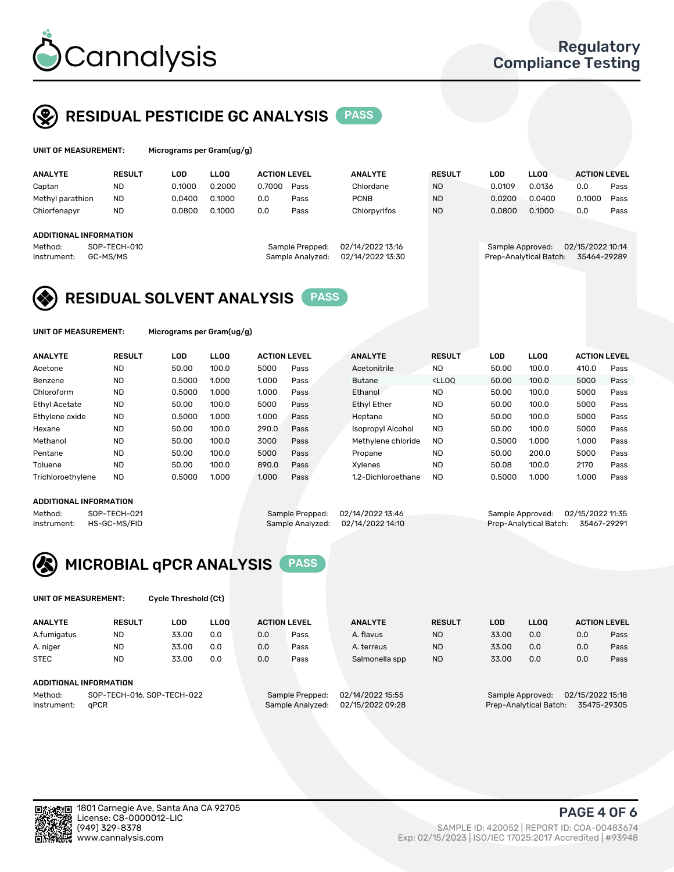

## RESIDUAL PESTICIDE GC ANALYSIS PASS

| UNIT OF MEASUREMENT:            |                    | Micrograms per Gram(ug/g) |                  |               |                  |                        |                     |      |  |  |  |
|---------------------------------|--------------------|---------------------------|------------------|---------------|------------------|------------------------|---------------------|------|--|--|--|
| <b>ANALYTE</b><br><b>RESULT</b> | LOD<br><b>LLOO</b> | <b>ACTION LEVEL</b>       | <b>ANALYTE</b>   | <b>RESULT</b> | <b>LOD</b>       | <b>LLOO</b>            | <b>ACTION LEVEL</b> |      |  |  |  |
| Captan<br><b>ND</b>             | 0.1000             | 0.2000<br>0.7000<br>Pass  | Chlordane        | <b>ND</b>     | 0.0109           | 0.0136                 | 0.0                 | Pass |  |  |  |
| <b>ND</b><br>Methyl parathion   | 0.0400             | 0.1000<br>0.0<br>Pass     | <b>PCNB</b>      | <b>ND</b>     | 0.0200           | 0.0400                 | 0.1000              | Pass |  |  |  |
| Chlorfenapyr<br><b>ND</b>       | 0.0800             | 0.1000<br>0.0<br>Pass     | Chlorpyrifos     | <b>ND</b>     | 0.0800           | 0.1000                 | 0.0                 | Pass |  |  |  |
| ADDITIONAL INFORMATION          |                    |                           |                  |               |                  |                        |                     |      |  |  |  |
| SOP-TECH-010<br>Method:         |                    | Sample Prepped:           | 02/14/2022 13:16 |               | Sample Approved: |                        | 02/15/2022 10:14    |      |  |  |  |
| GC-MS/MS<br>Instrument:         |                    | Sample Analyzed:          | 02/14/2022 13:30 |               |                  | Prep-Analytical Batch: | 35464-29289         |      |  |  |  |

## RESIDUAL SOLVENT ANALYSIS PASS

UNIT OF MEASUREMENT: Micrograms per Gram(ug/g)

| <b>ANALYTE</b>       | <b>RESULT</b> | <b>LOD</b> | <b>LLOO</b> | <b>ACTION LEVEL</b> |      | <b>ANALYTE</b>           | <b>RESULT</b>                                                               | LOD    | <b>LLOO</b> | <b>ACTION LEVEL</b> |      |
|----------------------|---------------|------------|-------------|---------------------|------|--------------------------|-----------------------------------------------------------------------------|--------|-------------|---------------------|------|
| Acetone              | <b>ND</b>     | 50.00      | 100.0       | 5000                | Pass | Acetonitrile             | <b>ND</b>                                                                   | 50.00  | 100.0       | 410.0               | Pass |
| Benzene              | <b>ND</b>     | 0.5000     | 1.000       | 1.000               | Pass | <b>Butane</b>            | <lloo< td=""><td>50.00</td><td>100.0</td><td>5000</td><td>Pass</td></lloo<> | 50.00  | 100.0       | 5000                | Pass |
| Chloroform           | <b>ND</b>     | 0.5000     | 1.000       | 1.000               | Pass | Ethanol                  | <b>ND</b>                                                                   | 50.00  | 100.0       | 5000                | Pass |
| <b>Ethyl Acetate</b> | <b>ND</b>     | 50.00      | 100.0       | 5000                | Pass | <b>Ethyl Ether</b>       | <b>ND</b>                                                                   | 50.00  | 100.0       | 5000                | Pass |
| Ethylene oxide       | <b>ND</b>     | 0.5000     | 1.000       | 1.000               | Pass | Heptane                  | <b>ND</b>                                                                   | 50.00  | 100.0       | 5000                | Pass |
| Hexane               | <b>ND</b>     | 50.00      | 100.0       | 290.0               | Pass | <b>Isopropyl Alcohol</b> | <b>ND</b>                                                                   | 50.00  | 100.0       | 5000                | Pass |
| Methanol             | <b>ND</b>     | 50.00      | 100.0       | 3000                | Pass | Methylene chloride       | <b>ND</b>                                                                   | 0.5000 | 1.000       | 1.000               | Pass |
| Pentane              | <b>ND</b>     | 50.00      | 100.0       | 5000                | Pass | Propane                  | <b>ND</b>                                                                   | 50.00  | 200.0       | 5000                | Pass |
| Toluene              | <b>ND</b>     | 50.00      | 100.0       | 890.0               | Pass | Xvlenes                  | <b>ND</b>                                                                   | 50.08  | 100.0       | 2170                | Pass |
| Trichloroethylene    | <b>ND</b>     | 0.5000     | 1.000       | 1.000               | Pass | 1.2-Dichloroethane       | <b>ND</b>                                                                   | 0.5000 | 1.000       | 1.000               | Pass |

#### ADDITIONAL INFORMATION

Method: SOP-TECH-021 Sample Prepped: 02/14/2022 13:46 Sample Approved: 02/15/2022 11:35<br>Instrument: HS-GC-MS/FID Sample Analyzed: 02/14/2022 14:10 Prep-Analytical Batch: 35467-29291 Prep-Analytical Batch: 35467-29291



UNIT OF MEASUREMENT: Cycle Threshold (Ct)

| <b>ANALYTE</b>                        | <b>RESULT</b> | LOD   | <b>LLOO</b> |                 | <b>ACTION LEVEL</b> | <b>ANALYTE</b>   | <b>RESULT</b> | <b>LOD</b>       | <b>LLOO</b>            |     | <b>ACTION LEVEL</b> |
|---------------------------------------|---------------|-------|-------------|-----------------|---------------------|------------------|---------------|------------------|------------------------|-----|---------------------|
| A.fumigatus                           | <b>ND</b>     | 33.00 | 0.0         | 0.0             | Pass                | A. flavus        | <b>ND</b>     | 33.00            | 0.0                    | 0.0 | Pass                |
| A. niger                              | <b>ND</b>     | 33.00 | 0.0         | 0.0             | Pass                | A. terreus       | <b>ND</b>     | 33.00            | 0.0                    | 0.0 | Pass                |
| <b>STEC</b>                           | <b>ND</b>     | 33.00 | 0.0         | 0.0             | Pass                | Salmonella spp   | <b>ND</b>     | 33.00            | 0.0                    | 0.0 | Pass                |
| ADDITIONAL INFORMATION                |               |       |             |                 |                     |                  |               |                  |                        |     |                     |
| SOP-TECH-016, SOP-TECH-022<br>Method: |               |       |             | Sample Prepped: | 02/14/2022 15:55    |                  |               | Sample Approved: | 02/15/2022 15:18       |     |                     |
| Instrument:                           | aPCR          |       |             |                 | Sample Analyzed:    | 02/15/2022 09:28 |               |                  | Prep-Analytical Batch: |     | 35475-29305         |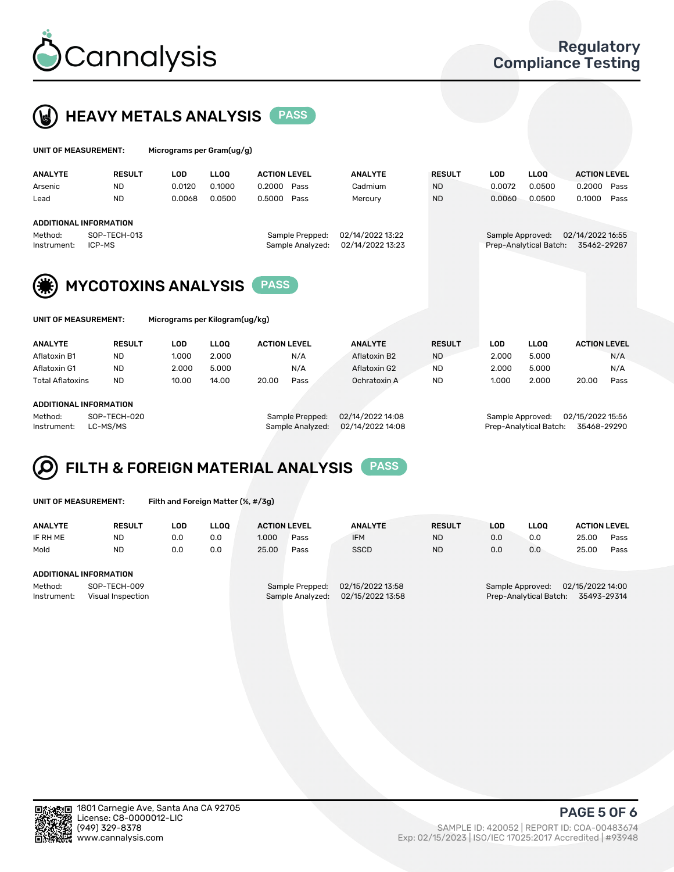



| UNIT OF MEASUREMENT: |                        | Micrograms per Gram(ug/g) |             |                     |                  |               |                  |                        |                     |      |
|----------------------|------------------------|---------------------------|-------------|---------------------|------------------|---------------|------------------|------------------------|---------------------|------|
| <b>ANALYTE</b>       | <b>RESULT</b>          | <b>LOD</b>                | <b>LLOO</b> | <b>ACTION LEVEL</b> | <b>ANALYTE</b>   | <b>RESULT</b> | <b>LOD</b>       | <b>LLOO</b>            | <b>ACTION LEVEL</b> |      |
| Arsenic              | <b>ND</b>              | 0.0120                    | 0.1000      | 0.2000<br>Pass      | Cadmium          | <b>ND</b>     | 0.0072           | 0.0500                 | 0.2000              | Pass |
| Lead                 | <b>ND</b>              | 0.0068                    | 0.0500      | 0.5000<br>Pass      | Mercury          | <b>ND</b>     | 0.0060           | 0.0500                 | 0.1000              | Pass |
|                      | ADDITIONAL INFORMATION |                           |             |                     |                  |               |                  |                        |                     |      |
| Method:              | SOP-TECH-013           |                           |             | Sample Prepped:     | 02/14/2022 13:22 |               | Sample Approved: |                        | 02/14/2022 16:55    |      |
| Instrument:          | ICP-MS                 |                           |             | Sample Analyzed:    | 02/14/2022 13:23 |               |                  | Prep-Analytical Batch: | 35462-29287         |      |
|                      | MVCOTOVING ANALVEIC    |                           |             | <b>PASS</b>         |                  |               |                  |                        |                     |      |



| UNII UF MEASUREMENI: | місг |
|----------------------|------|
|                      |      |
|                      |      |
|                      |      |

OF MEASUREMENT: Micrograms per Kilogram(ug/kg)

| <b>ANALYTE</b>          | <b>RESULT</b> | LOD   | <b>LLOO</b> | <b>ACTION LEVEL</b> |      | <b>ANALYTE</b> |              | <b>RESULT</b> |  | LOD   | <b>LLOO</b> |       | <b>ACTION LEVEL</b> |
|-------------------------|---------------|-------|-------------|---------------------|------|----------------|--------------|---------------|--|-------|-------------|-------|---------------------|
|                         |               |       |             |                     |      |                |              |               |  |       |             |       |                     |
| Aflatoxin B1            | <b>ND</b>     | 1.000 | 2.000       |                     | N/A  |                | Aflatoxin B2 | <b>ND</b>     |  | 2.000 | 5.000       |       | N/A                 |
| Aflatoxin G1            | <b>ND</b>     | 2.000 | 5.000       |                     | N/A  |                | Aflatoxin G2 | <b>ND</b>     |  | 2.000 | 5.000       |       | N/A                 |
| <b>Total Aflatoxins</b> | <b>ND</b>     | 10.00 | 14.00       | 20.00               | Pass |                | Ochratoxin A | <b>ND</b>     |  | 1.000 | 2.000       | 20.00 | Pass                |
|                         |               |       |             |                     |      |                |              |               |  |       |             |       |                     |

#### ADDITIONAL INFORMATION

Method: SOP-TECH-020 Sample Prepped: 02/14/2022 14:08 Sample Approved: 02/15/2022 15:56 Instrument: LC-MS/MS Sample Analyzed: 02/14/2022 14:08 Prep-Analytical Batch: 35468-29290

# FILTH & FOREIGN MATERIAL ANALYSIS PASS

UNIT OF MEASUREMENT: Filth and Foreign Matter (%, #/3g)

| <b>ANALYTE</b>                                              | <b>RESULT</b>          | LOD | <b>LLOO</b> | <b>ACTION LEVEL</b> |                                     | <b>ANALYTE</b>                       | <b>RESULT</b> | LOD                                                                           | <b>LLOO</b> | <b>ACTION LEVEL</b> |      |  |
|-------------------------------------------------------------|------------------------|-----|-------------|---------------------|-------------------------------------|--------------------------------------|---------------|-------------------------------------------------------------------------------|-------------|---------------------|------|--|
| IF RH ME                                                    | <b>ND</b>              | 0.0 | 0.0         | 1.000               | Pass                                | <b>IFM</b>                           | <b>ND</b>     | 0.0                                                                           | 0.0         | 25.00               | Pass |  |
| Mold                                                        | <b>ND</b>              | 0.0 | 0.0         | 25.00               | Pass                                | <b>SSCD</b>                          | <b>ND</b>     | 0.0                                                                           | 0.0         | 25.00               | Pass |  |
|                                                             | ADDITIONAL INFORMATION |     |             |                     |                                     |                                      |               |                                                                               |             |                     |      |  |
| Method:<br>SOP-TECH-009<br>Instrument:<br>Visual Inspection |                        |     |             |                     | Sample Prepped:<br>Sample Analyzed: | 02/15/2022 13:58<br>02/15/2022 13:58 |               | 02/15/2022 14:00<br>Sample Approved:<br>Prep-Analytical Batch:<br>35493-29314 |             |                     |      |  |